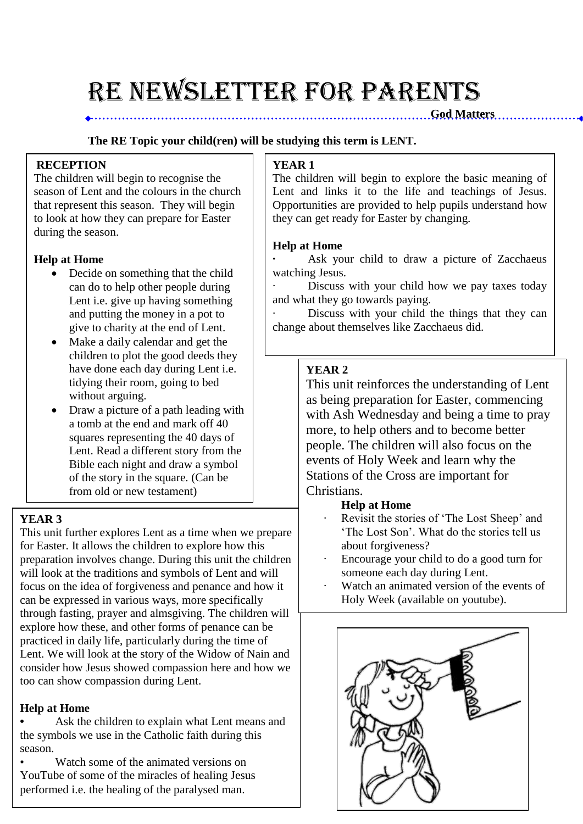# RE NEWSLETTER for PARENTS

#### **The RE Topic your child(ren) will be studying this term is LENT.**

#### **RECEPTION**

The children will begin to recognise the season of Lent and the colours in the church that represent this season. They will begin to look at how they can prepare for Easter during the season.

#### **Help at Home**

- Decide on something that the child can do to help other people during Lent i.e. give up having something and putting the money in a pot to give to charity at the end of Lent.
- Make a daily calendar and get the children to plot the good deeds they have done each day during Lent i.e. tidying their room, going to bed without arguing.
- Draw a picture of a path leading with a tomb at the end and mark off 40 squares representing the 40 days of Lent. Read a different story from the Bible each night and draw a symbol of the story in the square. (Can be from old or new testament)

## **YEAR 3**

This unit further explores Lent as a time when we prepare for Easter. It allows the children to explore how this preparation involves change. During this unit the children will look at the traditions and symbols of Lent and will focus on the idea of forgiveness and penance and how it can be expressed in various ways, more specifically through fasting, prayer and almsgiving. The children will explore how these, and other forms of penance can be practiced in daily life, particularly during the time of Lent. We will look at the story of the Widow of Nain and consider how Jesus showed compassion here and how we too can show compassion during Lent.

### **Help at Home**

**•** Ask the children to explain what Lent means and the symbols we use in the Catholic faith during this season.

Watch some of the animated versions on YouTube of some of the miracles of healing Jesus performed i.e. the healing of the paralysed man.

## **YEAR 1**

The children will begin to explore the basic meaning of Lent and links it to the life and teachings of Jesus. Opportunities are provided to help pupils understand how they can get ready for Easter by changing.

**God Matters** 

#### **Help at Home**

Ask your child to draw a picture of Zacchaeus watching Jesus.

Discuss with your child how we pay taxes today and what they go towards paying.

Discuss with your child the things that they can change about themselves like Zacchaeus did.

## **YEAR 2**

This unit reinforces the understanding of Lent as being preparation for Easter, commencing with Ash Wednesday and being a time to pray more, to help others and to become better people. The children will also focus on the events of Holy Week and learn why the Stations of the Cross are important for Christians.

### **Help at Home**

- Revisit the stories of 'The Lost Sheep' and 'The Lost Son'. What do the stories tell us about forgiveness?
- · Encourage your child to do a good turn for someone each day during Lent.
- Watch an animated version of the events of Holy Week (available on youtube).